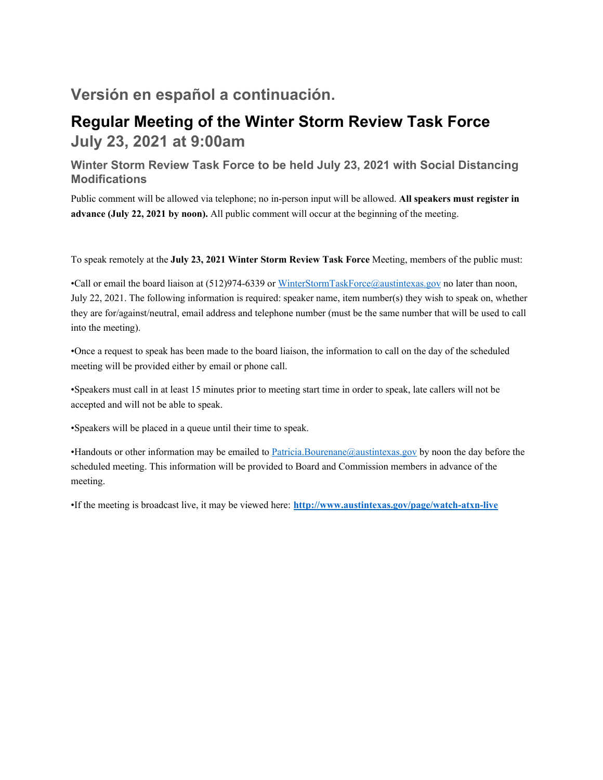## **Versión en español a continuación.**

## **Regular Meeting of the Winter Storm Review Task Force July 23, 2021 at 9:00am**

### **Winter Storm Review Task Force to be held July 23, 2021 with Social Distancing Modifications**

Public comment will be allowed via telephone; no in-person input will be allowed. **All speakers must register in advance (July 22, 2021 by noon).** All public comment will occur at the beginning of the meeting.

To speak remotely at the **July 23, 2021 Winter Storm Review Task Force** Meeting, members of the public must:

•Call or email the board liaison at (512)974-6339 or WinterStormTaskForce@austintexas.gov no later than noon, July 22, 2021. The following information is required: speaker name, item number(s) they wish to speak on, whether they are for/against/neutral, email address and telephone number (must be the same number that will be used to call into the meeting).

•Once a request to speak has been made to the board liaison, the information to call on the day of the scheduled meeting will be provided either by email or phone call.

•Speakers must call in at least 15 minutes prior to meeting start time in order to speak, late callers will not be accepted and will not be able to speak.

•Speakers will be placed in a queue until their time to speak.

•Handouts or other information may be emailed to Patricia.Bourenane@austintexas.gov by noon the day before the scheduled meeting. This information will be provided to Board and Commission members in advance of the meeting.

•If the meeting is broadcast live, it may be viewed here: **http://www.austintexas.gov/page/watch-atxn-live**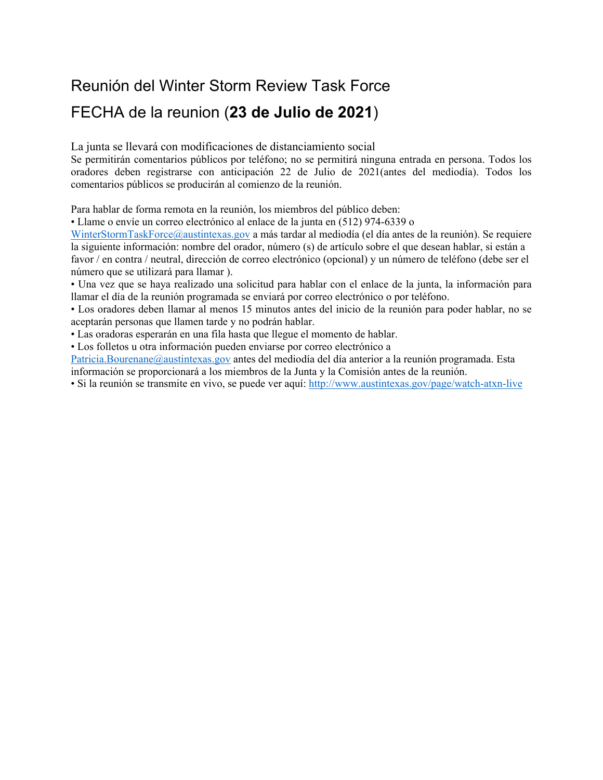# Reunión del Winter Storm Review Task Force

# FECHA de la reunion (**23 de Julio de 2021**)

La junta se llevará con modificaciones de distanciamiento social

Se permitirán comentarios públicos por teléfono; no se permitirá ninguna entrada en persona. Todos los oradores deben registrarse con anticipación 22 de Julio de 2021(antes del mediodía). Todos los comentarios públicos se producirán al comienzo de la reunión.

Para hablar de forma remota en la reunión, los miembros del público deben:

• Llame o envíe un correo electrónico al enlace de la junta en (512) 974-6339 o

WinterStormTaskForce@austintexas.gov a más tardar al mediodía (el día antes de la reunión). Se requiere la siguiente información: nombre del orador, número (s) de artículo sobre el que desean hablar, si están a favor / en contra / neutral, dirección de correo electrónico (opcional) y un número de teléfono (debe ser el número que se utilizará para llamar ).

• Una vez que se haya realizado una solicitud para hablar con el enlace de la junta, la información para llamar el día de la reunión programada se enviará por correo electrónico o por teléfono.

• Los oradores deben llamar al menos 15 minutos antes del inicio de la reunión para poder hablar, no se aceptarán personas que llamen tarde y no podrán hablar.

• Las oradoras esperarán en una fila hasta que llegue el momento de hablar.

• Los folletos u otra información pueden enviarse por correo electrónico a

Patricia.Bourenane@austintexas.gov antes del mediodía del día anterior a la reunión programada. Esta información se proporcionará a los miembros de la Junta y la Comisión antes de la reunión.

• Si la reunión se transmite en vivo, se puede ver aquí: http://www.austintexas.gov/page/watch-atxn-live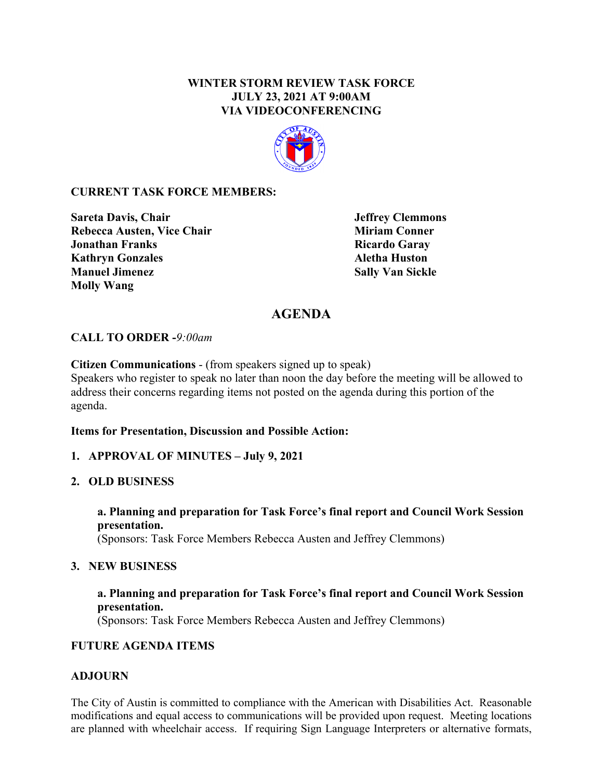#### **WINTER STORM REVIEW TASK FORCE JULY 23, 2021 AT 9:00AM VIA VIDEOCONFERENCING**



#### **CURRENT TASK FORCE MEMBERS:**

**Sareta Davis, Chair 19. In the United States of Series and American States of Series Area States and American Rebecca Austen, Vice Chair Miriam Conner Miriam Conner Jonathan Franks** Ricardo Garay **Kathryn Gonzales Aletha Huston Manuel Jimenez Sally Van Sickle Molly Wang** 

## **AGENDA**

#### **CALL TO ORDER -***9:00am*

**Citizen Communications** - (from speakers signed up to speak)

Speakers who register to speak no later than noon the day before the meeting will be allowed to address their concerns regarding items not posted on the agenda during this portion of the agenda.

#### **Items for Presentation, Discussion and Possible Action:**

#### **1. APPROVAL OF MINUTES – July 9, 2021**

#### **2. OLD BUSINESS**

**a. Planning and preparation for Task Force's final report and Council Work Session presentation.**  (Sponsors: Task Force Members Rebecca Austen and Jeffrey Clemmons)

#### **3. NEW BUSINESS**

#### **a. Planning and preparation for Task Force's final report and Council Work Session presentation.**

(Sponsors: Task Force Members Rebecca Austen and Jeffrey Clemmons)

#### **FUTURE AGENDA ITEMS**

#### **ADJOURN**

The City of Austin is committed to compliance with the American with Disabilities Act. Reasonable modifications and equal access to communications will be provided upon request. Meeting locations are planned with wheelchair access. If requiring Sign Language Interpreters or alternative formats,